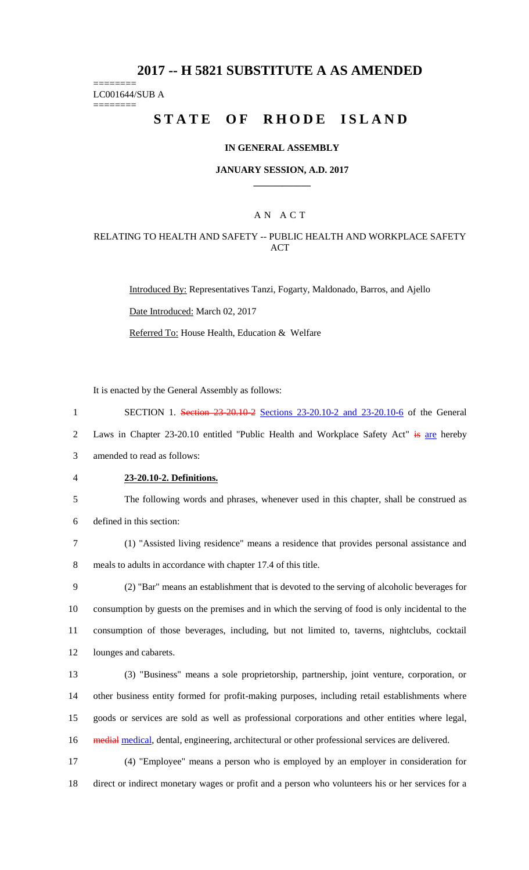# **2017 -- H 5821 SUBSTITUTE A AS AMENDED**

======== LC001644/SUB A

========

# **STATE OF RHODE ISLAND**

### **IN GENERAL ASSEMBLY**

### **JANUARY SESSION, A.D. 2017 \_\_\_\_\_\_\_\_\_\_\_\_**

## A N A C T

### RELATING TO HEALTH AND SAFETY -- PUBLIC HEALTH AND WORKPLACE SAFETY **ACT**

Introduced By: Representatives Tanzi, Fogarty, Maldonado, Barros, and Ajello Date Introduced: March 02, 2017

Referred To: House Health, Education & Welfare

It is enacted by the General Assembly as follows:

1 SECTION 1. Section 23-20.10-2 Sections 23-20.10-2 and 23-20.10-6 of the General

2 Laws in Chapter 23-20.10 entitled "Public Health and Workplace Safety Act" is are hereby

3 amended to read as follows:

4 **23-20.10-2. Definitions.**

5 The following words and phrases, whenever used in this chapter, shall be construed as 6 defined in this section:

7 (1) "Assisted living residence" means a residence that provides personal assistance and 8 meals to adults in accordance with chapter 17.4 of this title.

 (2) "Bar" means an establishment that is devoted to the serving of alcoholic beverages for consumption by guests on the premises and in which the serving of food is only incidental to the consumption of those beverages, including, but not limited to, taverns, nightclubs, cocktail lounges and cabarets.

 (3) "Business" means a sole proprietorship, partnership, joint venture, corporation, or other business entity formed for profit-making purposes, including retail establishments where goods or services are sold as well as professional corporations and other entities where legal, 16 medial medical, dental, engineering, architectural or other professional services are delivered.

17 (4) "Employee" means a person who is employed by an employer in consideration for 18 direct or indirect monetary wages or profit and a person who volunteers his or her services for a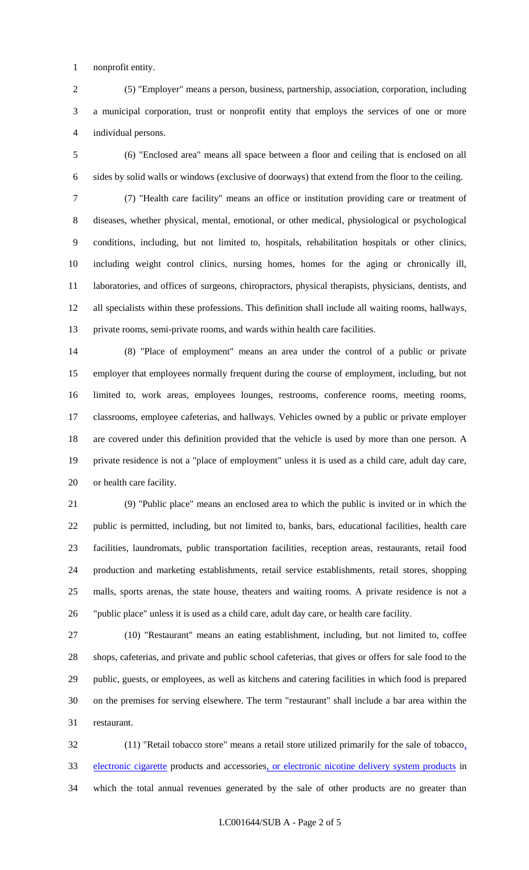nonprofit entity.

 (5) "Employer" means a person, business, partnership, association, corporation, including a municipal corporation, trust or nonprofit entity that employs the services of one or more individual persons.

 (6) "Enclosed area" means all space between a floor and ceiling that is enclosed on all sides by solid walls or windows (exclusive of doorways) that extend from the floor to the ceiling.

 (7) "Health care facility" means an office or institution providing care or treatment of diseases, whether physical, mental, emotional, or other medical, physiological or psychological conditions, including, but not limited to, hospitals, rehabilitation hospitals or other clinics, including weight control clinics, nursing homes, homes for the aging or chronically ill, laboratories, and offices of surgeons, chiropractors, physical therapists, physicians, dentists, and all specialists within these professions. This definition shall include all waiting rooms, hallways, private rooms, semi-private rooms, and wards within health care facilities.

 (8) "Place of employment" means an area under the control of a public or private employer that employees normally frequent during the course of employment, including, but not limited to, work areas, employees lounges, restrooms, conference rooms, meeting rooms, classrooms, employee cafeterias, and hallways. Vehicles owned by a public or private employer are covered under this definition provided that the vehicle is used by more than one person. A private residence is not a "place of employment" unless it is used as a child care, adult day care, or health care facility.

 (9) "Public place" means an enclosed area to which the public is invited or in which the public is permitted, including, but not limited to, banks, bars, educational facilities, health care facilities, laundromats, public transportation facilities, reception areas, restaurants, retail food production and marketing establishments, retail service establishments, retail stores, shopping malls, sports arenas, the state house, theaters and waiting rooms. A private residence is not a "public place" unless it is used as a child care, adult day care, or health care facility.

 (10) "Restaurant" means an eating establishment, including, but not limited to, coffee shops, cafeterias, and private and public school cafeterias, that gives or offers for sale food to the public, guests, or employees, as well as kitchens and catering facilities in which food is prepared on the premises for serving elsewhere. The term "restaurant" shall include a bar area within the restaurant.

 (11) "Retail tobacco store" means a retail store utilized primarily for the sale of tobacco, 33 electronic cigarette products and accessories, or electronic nicotine delivery system products in which the total annual revenues generated by the sale of other products are no greater than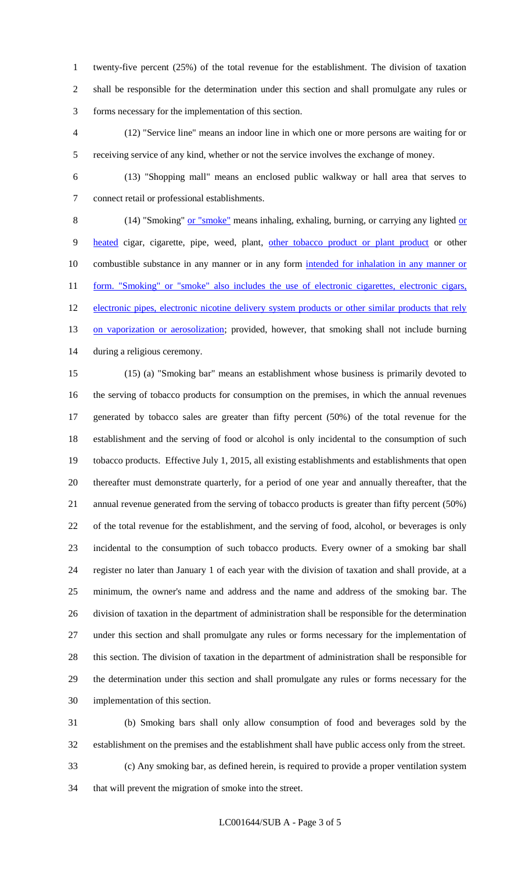twenty-five percent (25%) of the total revenue for the establishment. The division of taxation shall be responsible for the determination under this section and shall promulgate any rules or forms necessary for the implementation of this section.

 (12) "Service line" means an indoor line in which one or more persons are waiting for or receiving service of any kind, whether or not the service involves the exchange of money.

 (13) "Shopping mall" means an enclosed public walkway or hall area that serves to connect retail or professional establishments.

8 (14) "Smoking" or "smoke" means inhaling, exhaling, burning, or carrying any lighted or 9 heated cigar, cigarette, pipe, weed, plant, other tobacco product or plant product or other 10 combustible substance in any manner or in any form intended for inhalation in any manner or 11 form. "Smoking" or "smoke" also includes the use of electronic cigarettes, electronic cigars, 12 electronic pipes, electronic nicotine delivery system products or other similar products that rely 13 on vaporization or aerosolization; provided, however, that smoking shall not include burning during a religious ceremony.

 (15) (a) "Smoking bar" means an establishment whose business is primarily devoted to the serving of tobacco products for consumption on the premises, in which the annual revenues generated by tobacco sales are greater than fifty percent (50%) of the total revenue for the establishment and the serving of food or alcohol is only incidental to the consumption of such tobacco products. Effective July 1, 2015, all existing establishments and establishments that open thereafter must demonstrate quarterly, for a period of one year and annually thereafter, that the annual revenue generated from the serving of tobacco products is greater than fifty percent (50%) of the total revenue for the establishment, and the serving of food, alcohol, or beverages is only incidental to the consumption of such tobacco products. Every owner of a smoking bar shall register no later than January 1 of each year with the division of taxation and shall provide, at a minimum, the owner's name and address and the name and address of the smoking bar. The division of taxation in the department of administration shall be responsible for the determination under this section and shall promulgate any rules or forms necessary for the implementation of this section. The division of taxation in the department of administration shall be responsible for the determination under this section and shall promulgate any rules or forms necessary for the implementation of this section.

 (b) Smoking bars shall only allow consumption of food and beverages sold by the establishment on the premises and the establishment shall have public access only from the street. (c) Any smoking bar, as defined herein, is required to provide a proper ventilation system that will prevent the migration of smoke into the street.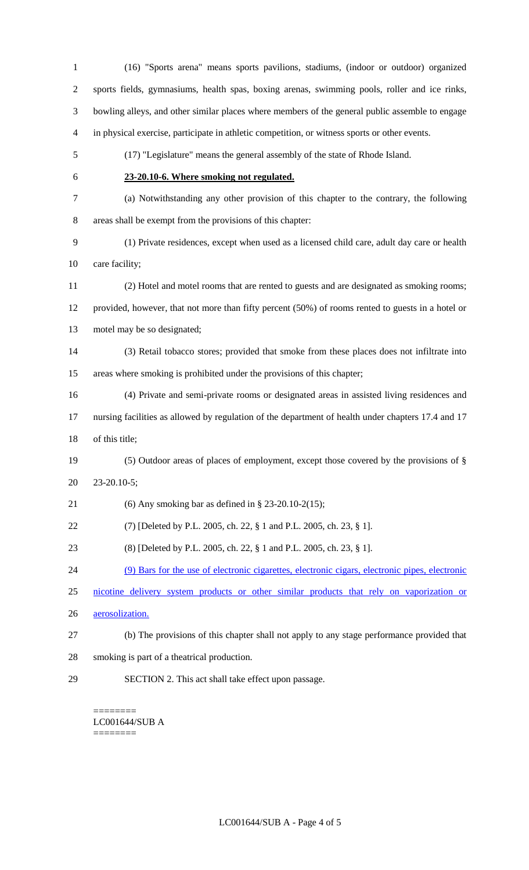(16) "Sports arena" means sports pavilions, stadiums, (indoor or outdoor) organized sports fields, gymnasiums, health spas, boxing arenas, swimming pools, roller and ice rinks, bowling alleys, and other similar places where members of the general public assemble to engage in physical exercise, participate in athletic competition, or witness sports or other events. (17) "Legislature" means the general assembly of the state of Rhode Island. **23-20.10-6. Where smoking not regulated.** (a) Notwithstanding any other provision of this chapter to the contrary, the following areas shall be exempt from the provisions of this chapter: (1) Private residences, except when used as a licensed child care, adult day care or health care facility; (2) Hotel and motel rooms that are rented to guests and are designated as smoking rooms; provided, however, that not more than fifty percent (50%) of rooms rented to guests in a hotel or motel may be so designated; (3) Retail tobacco stores; provided that smoke from these places does not infiltrate into areas where smoking is prohibited under the provisions of this chapter; (4) Private and semi-private rooms or designated areas in assisted living residences and nursing facilities as allowed by regulation of the department of health under chapters 17.4 and 17 of this title; (5) Outdoor areas of places of employment, except those covered by the provisions of § 23-20.10-5; (6) Any smoking bar as defined in § 23-20.10-2(15); (7) [Deleted by P.L. 2005, ch. 22, § 1 and P.L. 2005, ch. 23, § 1]. (8) [Deleted by P.L. 2005, ch. 22, § 1 and P.L. 2005, ch. 23, § 1]. (9) Bars for the use of electronic cigarettes, electronic cigars, electronic pipes, electronic nicotine delivery system products or other similar products that rely on vaporization or aerosolization. (b) The provisions of this chapter shall not apply to any stage performance provided that smoking is part of a theatrical production.

SECTION 2. This act shall take effect upon passage.

======== LC001644/SUB A ========